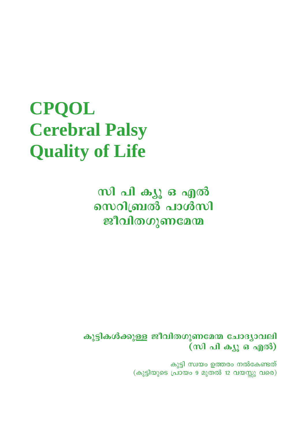# **CPQOL Cerebral Palsy Quality of Life**

സി പി ക്യൂ ഒ എൽ സെറിബ്രൽ പാൾസി ജീവിതഗുണമേന്മ

കുട്ടികൾക്കുള്ള ജീവിതഗുണമേന്മ ചോദ്യാവലി (സി പി ക്യൂ ഒ എൽ)

> കുട്ടി സ്വയം ഉത്തരം നൽകേണ്ടത് (കുട്ടിയുടെ പ്രായം 9 മുതൽ 12 വയസ്സു വരെ)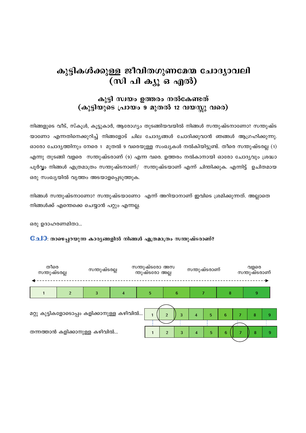#### കുട്ടികൾക്കുള്ള ജീവിതഗുണമേന്മ ചോദ്യാവലി (സി പി ക്യൂ ഒ എൽ)

#### കുട്ടി സ്വയം ഉത്തരം നൽകേണ്ടത് (കുട്ടിയുടെ പ്രായം 9 മുതൽ 12 വയസ്സു വരെ)

നിങ്ങളുടെ വീട്, സ്കൂൾ, കൂട്ടുകാർ, ആരോഗ്യം തുടങ്ങിയവയിൽ നിങ്ങൾ സന്തുഷ്ടനാണോ? സന്തുഷ്ട യാണോ എന്നതിനെക്കുറിച്ച് നിങ്ങളോട് ചില ചോദ്യങ്ങൾ ചോദിക്കുവാൻ ഞങ്ങൾ ആഗ്രഹിക്കുന്നു. ഓരോ ചോദ്യത്തിനും നേരെ 1 മുതൽ 9 വരെയുള്ള സംഖ്യകൾ നൽകിയിട്ടുണ്ട്. തീരെ സന്തുഷ്ടരല്ല (1) എന്നു തുടങ്ങി വളരെ സന്തുഷ്ടരാണ് (9) എന്ന വരെ. ഉത്തരം നൽകാനായി ഓരോ ചോദ്യവും ശ്രദ്ധാ പൂർവ്വം നിങ്ങൾ എത്രമാത്രം സന്തുഷ്ടനാണ്/ സന്തുഷ്ടയാണ് എന്ന് ചിന്തിക്കുക. എന്നിട്ട് ഉചിതമായ ഒരു സംഖ്യയിൽ വൃത്തം അടയാളപ്പെടുത്തുക.

നിങ്ങൾ സന്തുഷ്ടനാണോ? സന്തുഷ്ടയാണോ എന്ന് അറിയാനാണ് ഇവിടെ ശ്രമിക്കുന്നത്. അല്ലാതെ നിങ്ങൾക്ക് എന്തെക്കെ ചെയ്യാൻ പറ്റും എന്നല്ല.

ഒരു ഉദാഹരണമിതാ...

#### Cച0: താഴെപ്പറയുന്ന കാരൃങ്ങളിൽ നിങ്ങൾ എത്രമാത്രം സന്തുഷ്ടരാണ്?

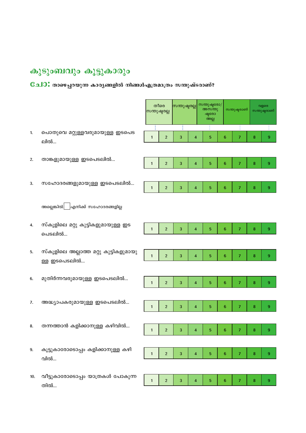## കുടുംബവും കൂട്ടുകാരും

### Cചി0: താഴെപ്പറയുന്ന കാര്യങ്ങളിൽ നിങ്ങൾഎത്രമാത്രം സന്തുഷ്ടരാണ്?

|     |                                                       | സന്തുഷ്ടരല്ല | തീരെ           | സന്തുഷ്ടരല്ല |                         | സന്തുഷ്ടരോ/<br>അസന്തു<br>ഷ്ടരോ<br>അല്ല |                 | സന്തുഷ്ടരാണ്   |        | വളരെ<br>സന്തുഷ്ടരാണ് |
|-----|-------------------------------------------------------|--------------|----------------|--------------|-------------------------|----------------------------------------|-----------------|----------------|--------|----------------------|
| 1.  | പൊതുവെ മറ്റുള്ളവരുമായുള്ള ഇടപെട<br>ലിൽ…               | $\mathbf{1}$ | $\sqrt{2}$     | 3            | $\overline{\mathbf{4}}$ | 5                                      | $6\phantom{1}6$ | 7              | 8      | 9                    |
| 2.  | താങ്കളുമായുള്ള ഇടപെടലിൽ                               | $\mathbf{1}$ | $\sqrt{2}$     | 3            | $\overline{\mathbf{4}}$ | 5                                      | $6\phantom{1}6$ | 7              | 8      | 9                    |
| 3.  | സഹോദരങ്ങളുമായുള്ള ഇടപെടലിൽ                            | $\mathbf{1}$ | $\overline{2}$ | 3            | $\overline{\mathbf{4}}$ | 5                                      | $6\phantom{1}6$ | 7              | 8      | 9                    |
|     | അല്ലെങ്കിൽ $\bigsqcup$ എനിക്ക് സഹോദരങ്ങളില്ല          |              |                |              |                         |                                        |                 |                |        |                      |
| 4.  | സ്കൂളിലെ മറ്റു കുട്ടികളുമായുള്ള ഇട<br>പെടലിൽ          | $\mathbf{1}$ | $\sqrt{2}$     | 3            | $\overline{\mathbf{4}}$ | 5                                      | $6\phantom{1}6$ | 7              | 8      | 9                    |
| 5.  | സ്കൂളിലെ അല്ലാത്ത മറ്റു കുട്ടികളുമായു<br>ള്ള ഇടപെടലിൽ | $\mathbf{1}$ | $\sqrt{2}$     | 3            | $\overline{\mathbf{4}}$ | 5                                      | $6\phantom{1}6$ | 7              | 8      | 9                    |
| 6.  | മുതിർന്നവരുമായുള്ള ഇടപെടലിൽ                           | $\mathbf{1}$ | $\sqrt{2}$     | 3            | $\overline{\mathbf{4}}$ | 5                                      | $6\phantom{1}6$ | 7              | $\bf8$ | 9                    |
| 7.  | അദ്ധ്യാപകരുമായുള്ള ഇടപെടലിൽ                           | $\mathbf{1}$ | $\overline{2}$ | 3            | $\overline{\mathbf{4}}$ | 5                                      | $6\phantom{1}6$ | 7              | 8      | 9                    |
| 8.  | തന്നത്താൻ കളിക്കാനുള്ള കഴിവിൽ                         | 1            | 2              | 3            | 4                       | 5                                      | 6               |                | 8      | 9                    |
| 9.  | കൂട്ടുകാരോടൊപ്പം കളിക്കാനുള്ള കഴി<br>വിൽ              | $\mathbf{1}$ | $\overline{2}$ | 3            | $\overline{\mathbf{4}}$ | $\sqrt{5}$                             | $6\phantom{1}$  | $\overline{7}$ | 8      | 9                    |
| 10. | വീട്ടുകാരോടൊപ്പം യാത്രകൾ പോകുന്ന<br>തിൽ…              | $\mathbf{1}$ | $\overline{2}$ | 3            | $\overline{4}$          | 5                                      | $6\phantom{1}$  | $\overline{7}$ | 8      | 9                    |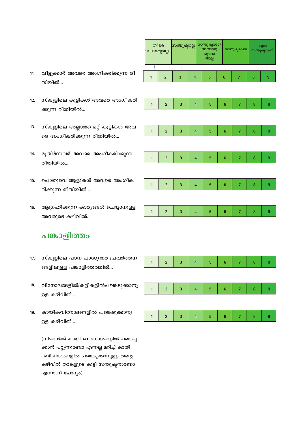- വീട്ടുക്കാർ അവരെ അംഗീകരിക്കുന്ന രീ  $11.$ തിയിൽ...
- $12.$ സ്കൂളിലെ കുട്ടികൾ അവരെ അംഗീകരി ക്കുന്ന രീതിയിൽ...
- സ്കൂളിലെ അല്ലാത്ത മറ്റ് കുട്ടികൾ അവ  $13.$ രെ അംഗീകരിക്കുന്ന രീതിയിൽ...
- 14. മുതിർന്നവർ അവരെ അംഗീകരിക്കുന്ന രീതിയിൽ...
- പൊതുവെ ആളുകൾ അവരെ അംഗീക  $15.$ രിക്കുന്ന രീതിയിൽ...
- ആഗ്രഹിക്കുന്ന കാര്യങ്ങൾ ചെയ്യാനുള്ള 16. അവരുടെ കഴിവിൽ...

#### പങ്കാളിത്തം

- സ്കൂളിലെ പഠന പാഠ്യേതര പ്രവർത്തന  $17.$ ങ്ങളിലുള്ള പങ്കാളിത്തത്തിൽ...
- 18. വിനോദങ്ങളിൽ/കളികളിൽപങ്കെടുക്കാനു ള്ള കഴിവിൽ...
- കായികവിനോദങ്ങളിൽ പങ്കെടുക്കാനു 19. ള്ള കഴിവിൽ...

(നിങ്ങൾക്ക് കായികവിനോദങ്ങളിൽ പങ്കെടു ക്കാൻ പറ്റുന്നുണ്ടോ എന്നല്ല മറിച്ച് കായി കവിനോദങ്ങളിൽ പങ്കെടുക്കാനുള്ള തന്റെ കഴിവിൽ താങ്കളുടെ കുട്ടി സന്തുഷ്ഠനാണോ എന്നാണ് ചോദ്യം)

| തീരെ<br>സന്തുഷ്ടരല്ല |                         | സന്തുഷ്ടരല്ല |                         |  | സന്തുഷ്ടരോ/<br>അസ്തു<br>ഷ്ടരോ<br>അല്ല |  |                  | സന്തുഷ്ടരാണ്   |  |         | വളരെ<br>സന്തുഷ്ടരാണ് |  |  |
|----------------------|-------------------------|--------------|-------------------------|--|---------------------------------------|--|------------------|----------------|--|---------|----------------------|--|--|
| I                    |                         | i            |                         |  | i                                     |  |                  | Î              |  |         |                      |  |  |
| $\mathbf{1}$         | $\overline{a}$          | 3            | $\overline{\mathbf{4}}$ |  | 5                                     |  | $\boldsymbol{6}$ | 7              |  | 8       | 9                    |  |  |
|                      |                         |              |                         |  |                                       |  |                  |                |  |         |                      |  |  |
| $\mathbf{1}$         | $\overline{c}$          | 3            | $\overline{\mathbf{4}}$ |  | 5                                     |  | $\boldsymbol{6}$ | 7              |  | $\bf 8$ | 9                    |  |  |
|                      |                         |              |                         |  |                                       |  |                  |                |  |         |                      |  |  |
| $\mathbf{1}$         | $\overline{\mathbf{c}}$ | 3            | $\overline{\mathbf{4}}$ |  | 5                                     |  | $\boldsymbol{6}$ | 7              |  | 8       | 9                    |  |  |
|                      |                         |              |                         |  |                                       |  |                  |                |  |         |                      |  |  |
| $\mathbf{1}$         | $\overline{\mathbf{c}}$ | 3            | $\overline{\mathbf{4}}$ |  | $\overline{5}$                        |  | $\boldsymbol{6}$ | 7              |  | 8       | 9                    |  |  |
|                      |                         |              |                         |  |                                       |  |                  |                |  |         |                      |  |  |
| $\mathbf{1}$         | $\overline{c}$          | 3            | $\overline{\mathbf{4}}$ |  | 5                                     |  | $\boldsymbol{6}$ | $\overline{7}$ |  | $\bf 8$ | 9                    |  |  |
|                      |                         |              |                         |  |                                       |  |                  |                |  |         |                      |  |  |
| $\mathbf{1}$         | $\overline{c}$          | 3            | $\overline{\mathbf{4}}$ |  | 5                                     |  | $\overline{6}$   | $\overline{7}$ |  | 8       | 9                    |  |  |
|                      |                         |              |                         |  |                                       |  |                  |                |  |         |                      |  |  |
| $\mathbf{1}$         | $\overline{\mathbf{c}}$ | 3            | $\overline{\mathbf{4}}$ |  | 5                                     |  | $\boldsymbol{6}$ | 7              |  | 8       | 9                    |  |  |
|                      |                         |              |                         |  |                                       |  |                  |                |  |         |                      |  |  |
| $\mathbf{1}$         | $\overline{a}$          | 3            | $\overline{\mathbf{4}}$ |  | 5                                     |  | $\boldsymbol{6}$ | $\overline{7}$ |  | 8       | 9                    |  |  |
|                      |                         |              |                         |  |                                       |  |                  |                |  |         |                      |  |  |
|                      |                         |              |                         |  |                                       |  |                  |                |  |         |                      |  |  |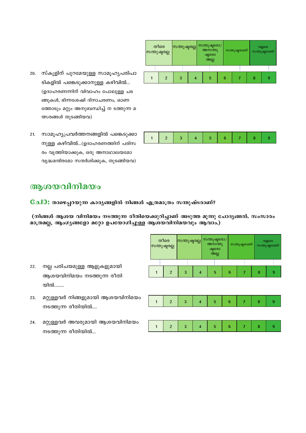- 20. സ്കൂളിന് പുറമേയുള്ള സാമൂഹൃപരിപാ ടികളിൽ പങ്കെടുക്കാനുള്ള കഴിവിൽ... (ഉദാഹരണന്നിന് വിവാഹം പോലുള്ള ചട ങ്ങുകൾ, ഭിന്നശേഷി ദിനാചരണം, ഓണ ത്തോടും മറ്റും അനുബന്ധിച്ച് ന ടത്തുന്ന മ ത്സരങ്ങൾ തുടങ്ങിയവ)
- 21. സാമൂഹ്യപ്രവർത്തനങ്ങളിൽ പങ്കെടുക്കാ നുള്ള കഴിവിൽ…(ഉദാഹരണത്തിന് പരിസ രം വൃത്തിയാക്കുക, ഒരു അനാഥാലയമോ വൃദ്ധമന്ദിരമോ സന്ദർശിക്കുക, തുടങ്ങിയവ)

| തീരെ<br>സന്തുഷ്ടരല്ല |                | സന്തുഷ്ടരല്ല |  | സന്തുഷ്ടരോ/<br>അസന്തു<br>ഷ്ടരോ<br>അല്ല |   |  | സന്തുഷ്ടരാണ് |  | വളരെ<br>സന്തുഷ്ടരാണ് |  |   |
|----------------------|----------------|--------------|--|----------------------------------------|---|--|--------------|--|----------------------|--|---|
|                      |                |              |  |                                        |   |  |              |  |                      |  |   |
|                      | $\mathfrak{p}$ | 3            |  |                                        | 5 |  | 6            |  | 8                    |  | 9 |
|                      |                |              |  |                                        |   |  |              |  |                      |  |   |

#### ആശയവിനിമയം

Cച0: താഴെപ്പറയുന്ന കാര്യങ്ങളിൽ നിങ്ങൾ എത്രമാത്രം സന്തുഷ്ടരാണ്?

(നിങ്ങൾ ആശയ വിനിമയം നടത്തുന്ന രീതിയെക്കുറിച്ചാണ് അടുത്ത മൂന്നു ചോദ്യങ്ങൽ. സംസാരം മാത്രമല്ല, ആംഗൃങ്ങളോ മറ്റോ ഉപയോഗിച്ചുള്ള ആശയവിനിമയവും ആവാം.)

|                                  |   | തീരെ<br>സന്തുഷ്ടരല്ല |   | സന്തുഷ്ടരല്ല            |  | സന്തുഷ്ടരോ/<br>അസന്തു<br>ഷ്ടരോ<br>അല്ല |                 | സന്തുഷ്ടരാണ് |                |                  | വളരെ<br>സന്തുഷ്ടരാണ് |
|----------------------------------|---|----------------------|---|-------------------------|--|----------------------------------------|-----------------|--------------|----------------|------------------|----------------------|
| ള ആളുകളുമായി<br>ം നടത്തുന്ന രീതി |   | $\overline{2}$       | 3 | $\overline{4}$          |  | 5                                      | $6\phantom{1}6$ |              | $\overline{7}$ | 8                | 9                    |
| ളുമായി ആശയവിനിമയം<br>യിൽ….       | 1 | $\overline{2}$       | 3 | $\overline{4}$          |  | 5                                      | $6\phantom{1}6$ |              | $\overline{7}$ | $\boldsymbol{8}$ | 9                    |
| രുമായി ആശയവിനിമയം                | 1 | $\overline{2}$       | 3 | $\overline{\mathbf{4}}$ |  | 5                                      | $6\phantom{1}6$ |              | 7              | 8                | 9                    |

- $22.$ നല്ല പരിചയമുള ആശയവിനിമയ യിൽ........
- മറ്റുള്ളവർ നിങ്ങ 23. നടത്തുന്ന രീതി
- 24. മറ്റുള്ളവർ അവര നടത്തുന്ന രീതിയിൽ...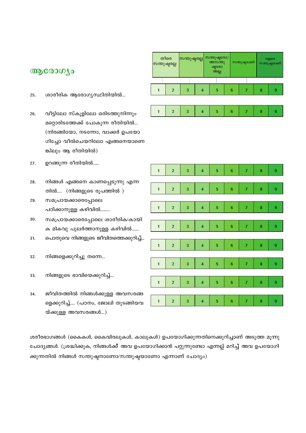- ശാരീരിക ആരോഗൃസ്ഥിതിയിൽ... 25.
- വീട്ടിലോ സ്കൂളിലോ ഒരിടത്തുനിന്നും 26. മറ്റൊരിടത്തേക്ക് പോകുന്ന രീതിയിൽ... (നിരങ്ങിയോ, നടന്നോ, വാക്കർ ഉപയോ ഗിച്ചോ വീൽചെയറിലോ എങ്ങനെയാണെ ങ്കിലും ആ രീതിയിൽ)
- ഉറങ്ങുന്ന രീതിയിൽ..... 27.
- നിങ്ങൾ എങ്ങനെ കാണപ്പെടുന്നു എന്ന 28. തിൽ.... (നിങ്ങളുടെ രൂപത്തിൽ )
- 29. സമപ്രായക്കാരെപ്പോലെ പഠിക്കാനുള്ള കഴിവിൽ........
- 30. സമപ്രായക്കാരെപ്പോലെ ശാരീരിക⁄കായി ക മികവു പുലർത്താനുള്ള കഴിവിൽ......
- പൊതുവെ നിങ്ങളുടെ ജീവിതത്തെക്കുറിച്ച്...  $31.$
- നിങ്ങളെക്കുറിച്ചു തന്നെ... 32.
- നിങ്ങളുടെ ഭാവിയെക്കുറിച്ച്... 33.
- ജീവിതത്തിൽ നിങ്ങൾക്കുള്ള അവസരങ്ങ 34. ളെക്കുറിച്ച്.... (പഠനം, ജോലി തുടങ്ങിയവ യ്ക്കുള്ള അവസരങ്ങൾ...)

| ശരീരഭാഗങ്ങൾ (കൈകൾ, കൈവിരലുകൾ, കാലുകൾ) ഉപയോഗിക്കുന്നതിനെക്കുറിച്ചാണ് അടുത്ത മൂന്നു            |
|----------------------------------------------------------------------------------------------|
| ചോദ്യങ്ങൾ. (ശ്രദ്ധിക്കുക, നിങ്ങൾക്ക് അവ ഉപയോഗിക്കാൻ പറ്റുന്നുണ്ടോ എന്നല്ല് മറിച്ച് അവ ഉപയോഗി |
| ക്കുന്നതിൽ നിങ്ങൾ സന്തുഷ്ടനാണോ/സന്തുഷ്ടയാണോ എന്നാണ് ചോദ്യം)                                  |

| $\mathbf{1}$ | $\overline{a}$          | 3 | $\overline{\mathbf{4}}$ | 5                       | $\boldsymbol{6}$ | $\overline{7}$ | 8       | 9 |
|--------------|-------------------------|---|-------------------------|-------------------------|------------------|----------------|---------|---|
| $\mathbf{1}$ | $\overline{a}$          | 3 | $\overline{\mathbf{4}}$ | 5                       | $\boldsymbol{6}$ | 7              | 8       | 9 |
| $\mathbf{1}$ | $\overline{c}$          | 3 | $\overline{\mathbf{4}}$ | 5                       | $\boldsymbol{6}$ | $\overline{7}$ | 8       | 9 |
| $\mathbf{1}$ | $\overline{c}$          | 3 | $\overline{\mathbf{4}}$ | 5                       | $\boldsymbol{6}$ | 7              | 8       | 9 |
| $\mathbf{1}$ | $\overline{\mathbf{c}}$ | 3 | $\overline{\mathbf{4}}$ | $\overline{\mathbf{5}}$ | $\boldsymbol{6}$ | 7              | 8       | 9 |
| $\mathbf{1}$ | $\overline{\mathbf{c}}$ | 3 | $\overline{\mathbf{4}}$ | 5                       | $\boldsymbol{6}$ | 7              | $\bf 8$ | 9 |
| $\mathbf{1}$ | $\overline{a}$          | 3 | $\overline{\mathbf{4}}$ | 5                       | $\boldsymbol{6}$ | 7              | 8       | 9 |
| $\mathbf{1}$ | $\overline{a}$          | 3 | $\overline{\mathbf{4}}$ | 5                       | $\boldsymbol{6}$ | $\overline{7}$ | 8       | 9 |

| തീരെ<br>സന്തുഷ്ടരല്ല |   | സന്തുഷ്ടരല്ല | സന്തുഷ്ടരോ/<br>അസന്തു<br>ഷ്ടരോ<br>അല്ല |  | സന്തുഷ്ടരാണ് |  | വളരെ<br>സന്തുഷ്ടരാണ് |   |  |
|----------------------|---|--------------|----------------------------------------|--|--------------|--|----------------------|---|--|
|                      |   |              |                                        |  |              |  |                      |   |  |
| $\mathfrak{p}$       | 3 |              | 5                                      |  | 6            |  | 8                    | 9 |  |
|                      |   |              |                                        |  |              |  |                      |   |  |

 $\overline{5}$ 

 $6\overline{6}$ 

 $\overline{z}$ 

 $\overline{8}$ 

 $\overline{9}$ 

 $\overline{2}$ 

 $\overline{1}$ 

 $\overline{3}$ 

 $\overline{4}$ 

ആരോഗ്യം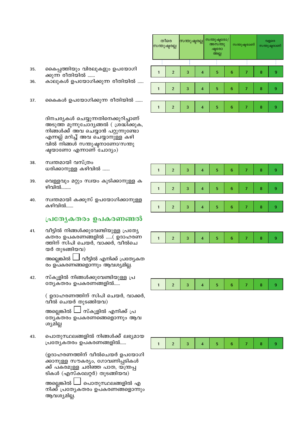- 35. കൈപ്പത്തിയും വിരലുകളും ഉപയോഗി ക്കുന്ന രീതിയിൽ ......
- കാലുകൾ ഉപയോഗിക്കുന്ന രീതിയിൽ ..... 36.
- 37. കൈകൾ ഉപയോഗിക്കുന്ന രീതിയിൽ ......

ദിനചര്യകൾ ചെയ്യുന്നതിനെക്കുറിച്ചാണ് അടുത്ത മൂന്നുചോദ്യങ്ങൽ ( ശ്രദ്ധിക്കുക, നിങ്ങൾക്ക് അവ ചെയ്യാൻ പറ്റുന്നുണ്ടോ എന്നല്ല് മറിച്ച് അവ ചെയ്യാനുള്ള കഴി വിൽ നിങ്ങൾ സന്തുഷ്ഠനാണോ/സന്തു ഷ്ടയാണോ എന്നാണ് ചോദ്യം)

- സ്വന്തമായി വസ്ത്രം 38. ധരിക്കാനുള്ള കഴിവിൽ ......
- വെള്ളവും മറ്റും സ്വയം കുടിക്കാനുള്ള ക 39. ഴിവിൽ……..
- സ്വന്തമായി കക്കൂസ് ഉപയോഗിക്കാനുള്ള 40. കഴിവിൽ……

#### പ്രത്യേകതരം ഉപകരണങ്ങൽ

വീട്ടിൽ നിങ്ങൾക്കുവേണ്ടിയുള്ള പ്രത്യേ 41. കതരം ഉപകരണങ്ങളിൽ .....( ഉദാഹരണ ത്തിന് സിപി ചെയർ, വാക്കർ, വീൽചെ യർ തുടങ്ങിയവ)

> **\_l** വീട്ടിൽ എനിക്ക് പ്രത്യേകത അല്ലെങ്കിൽ L രം ഉപകരണങ്ങളൊന്നും ആവശ്യമില്ല.

42. സ്കൂളിൽ നിങ്ങൾക്കുവേണ്ടിയുള്ള പ്ര ത്യേകതരം ഉപകരണങ്ങളിൽ.....

> ( ഉദാഹരണത്തിന് സിപി ചെയർ, വാക്കർ, വീൽ ചെയർ തുടങ്ങിയവ)

അല്ലെങ്കിൽ L ⊿ സ്കൂളിൽ എനിക്ക് പ്ര ത്യേകതരം ഉപകരണങ്ങെളൊന്നും ആവ ശ്യമില്ല

പൊതുസ്ഥലങ്ങളിൽ നിങ്ങൾക്ക് ലഭ്യമായ 43. പ്രത്യേകതരം ഉപകരണങ്ങളിൽ.....

> (ഉദാഹരണത്തിന് വീൽചെയർ ഉപയോഗി ക്കാനുള്ള സൗകര്യം, ഗോവണിപ്പടികൾ ക്ക് പകരമുള്ള ചരിഞ്ഞ പാത, യന്ത്രപ്പ ടികൾ (എസ്കലേറ്റർ) തുടങ്ങിയവ)

> അല്ലെങ്കിൽ l പൊതുസ്ഥലങ്ങളിൽ എ നിക്ക് പ്രത്യേകതരം ഉപകരണങ്ങളൊന്നും ആവശ്യമില്ല.

| തീരെ<br>സന്തുഷ്ടരല്ല |                | സന്തുഷ്ടരല്ല |   | സന്തുഷ്ടരോ/<br>അസന്തു<br>ഷ്ടരോ<br>അല്ല |  | സതുഷ്ടരാണ് |   | വളരെ<br>സന്തുഷ്ടരാണ് |   |  |
|----------------------|----------------|--------------|---|----------------------------------------|--|------------|---|----------------------|---|--|
|                      |                |              |   |                                        |  |            |   |                      |   |  |
|                      | $\overline{2}$ | 3            | 4 | 5                                      |  | 6          | 7 | 8                    | 9 |  |
|                      |                |              |   |                                        |  |            |   |                      |   |  |
|                      | $\overline{2}$ | 3            | 4 | 5                                      |  | 6          | 7 | 8                    | 9 |  |
|                      |                |              |   |                                        |  |            |   |                      |   |  |
|                      | $\overline{2}$ | 3            |   | 5                                      |  | 6          |   | 8                    | 9 |  |

| $\overline{2}$ | 3 | $5\phantom{.0}$ | 6 | 8 | 9 |
|----------------|---|-----------------|---|---|---|
|                |   |                 |   |   |   |
| $\overline{2}$ | 3 | $\overline{5}$  | 6 | 8 | 9 |
|                |   |                 |   |   |   |
| $\overline{2}$ | 3 | 5               | 6 | 8 | 9 |
|                |   |                 |   |   |   |

|  | $\sim$ 4 $\mid$ | $5 -$ |  |  |
|--|-----------------|-------|--|--|



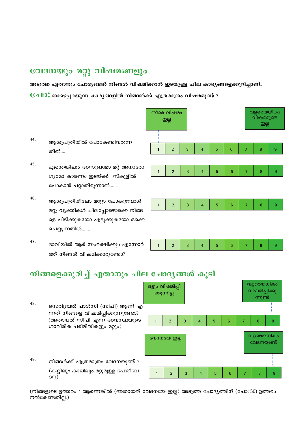## വേദനയും മറ്റു വിഷമങ്ങളും

അടുത്ത ഏതാനും ചോദ്യങ്ങൽ നിങ്ങൾ വിഷമിക്കാൻ ഇടയുള്ള ചില കാരൃങ്ങളെക്കുറിച്ചാണ്.

6േചി0: താഴെപ്പറയുന്ന കാര്യങ്ങളിൽ നിങ്ങൽക്ക് എത്രമാത്രം വിഷമമുണ്ട് ?

- 44. ആശുപത്രിയിൽ പോകേണ്ടിവരുന്ന തിൽ….
- 45. എന്തെങ്കിലും അസുഖമോ മറ്റ് അനാരോ ഗ്യമോ കാരണം ഇടയ്ക്ക് സ്കൂളിൽ പോകാൻ പറ്റാതിരുന്നാൽ......
- 46. ആശുപത്രിയിലോ മറ്റോ പോകുമ്പോൾ മറ്റു വൃക്തികൾ ചിലപ്പോഴൊക്കെ നിങ്ങ ളെ പിടിക്കുകയോ എടുക്കുകയോ ഒക്കെ ചെയ്യുന്നതിൽ.......
- $47.$ ഭാവിയിൽ ആര് സംരക്ഷിക്കും എന്നോർ ത്ത് നിങ്ങൾ വിഷമിക്കാറുണ്ടോ?



#### നിങ്ങളെക്കുറിച്ച് ഏതാനും ചില ചോദൃങ്ങൾ കൂടി

വളരെയധികം ഒട്ടും വിഷമിപ്പി വിഷമിപ്പിക്കു ക്കുന്നില്ല ന്നുണ്ട് 48. സെറിബ്രൽ പാൾസി (സിപി) ആണ് എ ന്നത് നിങ്ങളെ വിഷമിപ്പിക്കുന്നുണ്ടോ? (അതായത് സിപി എന്ന അവസ്ഥയുടെ  $\overline{5}$  $6\phantom{a}$  $\overline{\mathbf{8}}$  $\overline{2}$ 3 9  $\overline{1}$  $\overline{\mathbf{4}}$  $\overline{7}$ ശാരീരിക പരിമിതികളും മറ്റും) വളരെയധികം വേദനയേ ഇല്ല വേദനയുണ്ട് 49. നിങ്ങൾക്ക് എത്രമാത്രം വേദനയുണ്ട് ? (കയ്യിലും കാലിലും മറ്റുമുള്ള പേശീവേ  $\overline{1}$  $\overline{2}$  $\overline{3}$  $\overline{\mathbf{4}}$  $\overline{5}$  $\bf 6$  $\overline{7}$  $\overline{\mathbf{8}}$  $\overline{9}$  $(30)$ 

(നിങ്ങളുടെ ഉത്തരം 1 ആണെങ്കിൽ (അതായത് വേദനയേ ഇല്ല) അടുത്ത ചോദ്യത്തിന് (ചോ: 50) ഉത്തരം നൽകേണ്ടതില്ല.)